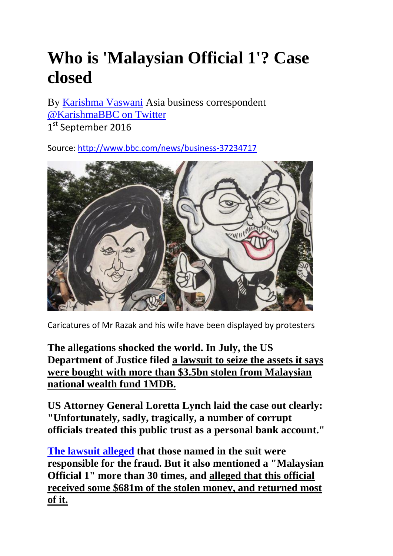## **Who is 'Malaysian Official 1'? Case closed**

By [Karishma Vaswani](http://www.bbc.com/news/correspondents/karishmavaswani) Asia business correspondent [@KarishmaBBC on Twitter](https://www.twitter.com/KarishmaBBC) 1<sup>st</sup> September 2016

Source:<http://www.bbc.com/news/business-37234717>



Caricatures of Mr Razak and his wife have been displayed by protesters

**The allegations shocked the world. In July, the US Department of Justice filed a lawsuit to seize the assets it says were bought with more than \$3.5bn stolen from Malaysian national wealth fund 1MDB.** 

**US Attorney General Loretta Lynch laid the case out clearly: "Unfortunately, sadly, tragically, a number of corrupt officials treated this public trust as a personal bank account."** 

**[The lawsuit alleged](http://www.bbc.co.uk/news/world-us-canada-36848149) that those named in the suit were responsible for the fraud. But it also mentioned a "Malaysian Official 1" more than 30 times, and alleged that this official received some \$681m of the stolen money, and returned most of it.**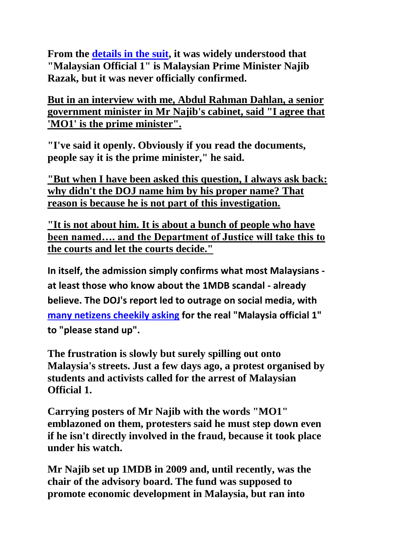**From the [details in the suit,](https://www.justice.gov/opa/pr/united-states-seeks-recover-more-1-billion-obtained-corruption-involving-malaysian-sovereign) it was widely understood that "Malaysian Official 1" is Malaysian Prime Minister Najib Razak, but it was never officially confirmed.** 

**But in an interview with me, Abdul Rahman Dahlan, a senior government minister in Mr Najib's cabinet, said "I agree that 'MO1' is the prime minister".**

**"I've said it openly. Obviously if you read the documents, people say it is the prime minister," he said.** 

**"But when I have been asked this question, I always ask back: why didn't the DOJ name him by his proper name? That reason is because he is not part of this investigation.** 

**"It is not about him. It is about a bunch of people who have been named…. and the Department of Justice will take this to the courts and let the courts decide."**

**In itself, the admission simply confirms what most Malaysians at least those who know about the 1MDB scandal - already believe. The DOJ's report led to outrage on social media, with [many netizens cheekily asking](http://www.bbc.co.uk/news/world-asia-36852745) for the real "Malaysia official 1" to "please stand up".**

**The frustration is slowly but surely spilling out onto Malaysia's streets. Just a few days ago, a protest organised by students and activists called for the arrest of Malaysian Official 1.** 

**Carrying posters of Mr Najib with the words "MO1" emblazoned on them, protesters said he must step down even if he isn't directly involved in the fraud, because it took place under his watch.** 

**Mr Najib set up 1MDB in 2009 and, until recently, was the chair of the advisory board. The fund was supposed to promote economic development in Malaysia, but ran into**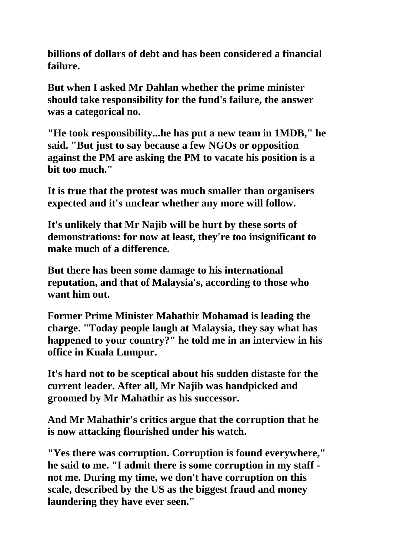**billions of dollars of debt and has been considered a financial failure.** 

**But when I asked Mr Dahlan whether the prime minister should take responsibility for the fund's failure, the answer was a categorical no.**

**"He took responsibility...he has put a new team in 1MDB," he said. "But just to say because a few NGOs or opposition against the PM are asking the PM to vacate his position is a bit too much."**

**It is true that the protest was much smaller than organisers expected and it's unclear whether any more will follow.** 

**It's unlikely that Mr Najib will be hurt by these sorts of demonstrations: for now at least, they're too insignificant to make much of a difference.**

**But there has been some damage to his international reputation, and that of Malaysia's, according to those who want him out.**

**Former Prime Minister Mahathir Mohamad is leading the charge. "Today people laugh at Malaysia, they say what has happened to your country?" he told me in an interview in his office in Kuala Lumpur.** 

**It's hard not to be sceptical about his sudden distaste for the current leader. After all, Mr Najib was handpicked and groomed by Mr Mahathir as his successor.** 

**And Mr Mahathir's critics argue that the corruption that he is now attacking flourished under his watch.** 

**"Yes there was corruption. Corruption is found everywhere," he said to me. "I admit there is some corruption in my staff not me. During my time, we don't have corruption on this scale, described by the US as the biggest fraud and money laundering they have ever seen."**